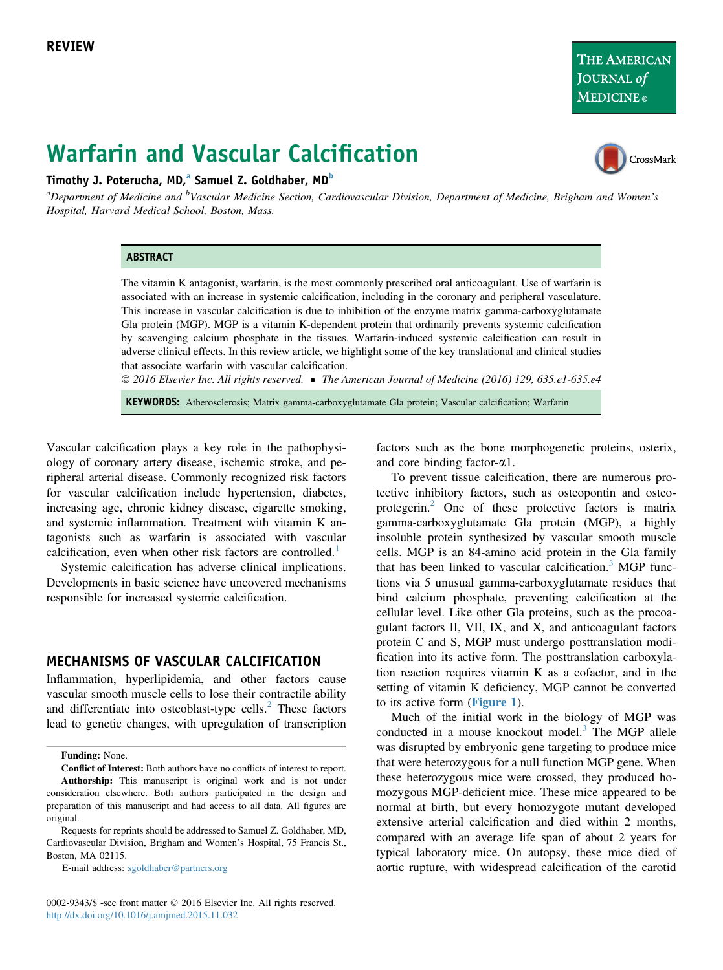```
THE AMERICAN
JOURNAL of
MEDICINE®
```
CrossMark

# Warfarin and Vascular Calcification

## Timothy J. Poterucha, MD,<sup>a</sup> Samuel Z. Goldhaber, MD<sup>b</sup>

<sup>a</sup>Department of Medicine and <sup>b</sup>Vascular Medicine Section, Cardiovascular Division, Department of Medicine, Brigham and Women's Hospital, Harvard Medical School, Boston, Mass.

#### **ABSTRACT**

The vitamin K antagonist, warfarin, is the most commonly prescribed oral anticoagulant. Use of warfarin is associated with an increase in systemic calcification, including in the coronary and peripheral vasculature. This increase in vascular calcification is due to inhibition of the enzyme matrix gamma-carboxyglutamate Gla protein (MGP). MGP is a vitamin K-dependent protein that ordinarily prevents systemic calcification by scavenging calcium phosphate in the tissues. Warfarin-induced systemic calcification can result in adverse clinical effects. In this review article, we highlight some of the key translational and clinical studies that associate warfarin with vascular calcification.

2016 Elsevier Inc. All rights reserved. The American Journal of Medicine (2016) 129, 635.e1-635.e4

KEYWORDS: Atherosclerosis; Matrix gamma-carboxyglutamate Gla protein; Vascular calcification; Warfarin

Vascular calcification plays a key role in the pathophysiology of coronary artery disease, ischemic stroke, and peripheral arterial disease. Commonly recognized risk factors for vascular calcification include hypertension, diabetes, increasing age, chronic kidney disease, cigarette smoking, and systemic inflammation. Treatment with vitamin K antagonists such as warfarin is associated with vascular calcification, even when other risk factors are controlled. $<sup>1</sup>$  $<sup>1</sup>$  $<sup>1</sup>$ </sup>

Systemic calcification has adverse clinical implications. Developments in basic science have uncovered mechanisms responsible for increased systemic calcification.

## MECHANISMS OF VASCULAR CALCIFICATION

Inflammation, hyperlipidemia, and other factors cause vascular smooth muscle cells to lose their contractile ability and differentiate into osteoblast-type cells. $<sup>2</sup>$  $<sup>2</sup>$  $<sup>2</sup>$  These factors</sup> lead to genetic changes, with upregulation of transcription

E-mail address: [sgoldhaber@partners.org](mailto:sgoldhaber@partners.org)

0002-9343/\$ -see front matter © 2016 Elsevier Inc. All rights reserved. <http://dx.doi.org/10.1016/j.amjmed.2015.11.032>

factors such as the bone morphogenetic proteins, osterix, and core binding factor- $\alpha$ 1.

To prevent tissue calcification, there are numerous protective inhibitory factors, such as osteopontin and osteoprotegerin.[2](#page-2-0) One of these protective factors is matrix gamma-carboxyglutamate Gla protein (MGP), a highly insoluble protein synthesized by vascular smooth muscle cells. MGP is an 84-amino acid protein in the Gla family that has been linked to vascular calcification. $3 \text{ MGP}$  $3 \text{ MGP}$  functions via 5 unusual gamma-carboxyglutamate residues that bind calcium phosphate, preventing calcification at the cellular level. Like other Gla proteins, such as the procoagulant factors II, VII, IX, and X, and anticoagulant factors protein C and S, MGP must undergo posttranslation modification into its active form. The posttranslation carboxylation reaction requires vitamin K as a cofactor, and in the setting of vitamin K deficiency, MGP cannot be converted to its active form ([Figure 1](#page-1-0)).

Much of the initial work in the biology of MGP was conducted in a mouse knockout model.<sup>[3](#page-2-0)</sup> The MGP allele was disrupted by embryonic gene targeting to produce mice that were heterozygous for a null function MGP gene. When these heterozygous mice were crossed, they produced homozygous MGP-deficient mice. These mice appeared to be normal at birth, but every homozygote mutant developed extensive arterial calcification and died within 2 months, compared with an average life span of about 2 years for typical laboratory mice. On autopsy, these mice died of aortic rupture, with widespread calcification of the carotid

Funding: None.

Conflict of Interest: Both authors have no conflicts of interest to report. Authorship: This manuscript is original work and is not under consideration elsewhere. Both authors participated in the design and preparation of this manuscript and had access to all data. All figures are original.

Requests for reprints should be addressed to Samuel Z. Goldhaber, MD, Cardiovascular Division, Brigham and Women's Hospital, 75 Francis St., Boston, MA 02115.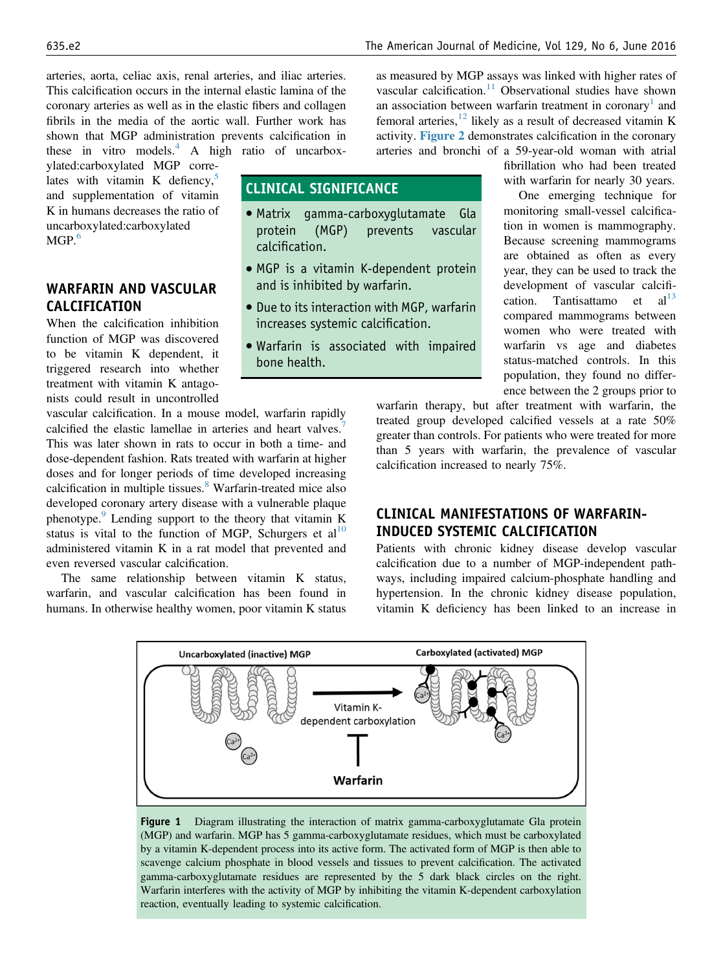<span id="page-1-0"></span>arteries, aorta, celiac axis, renal arteries, and iliac arteries. This calcification occurs in the internal elastic lamina of the coronary arteries as well as in the elastic fibers and collagen fibrils in the media of the aortic wall. Further work has shown that MGP administration prevents calcification in these in vitro models. $\frac{4}{3}$  $\frac{4}{3}$  $\frac{4}{3}$  A high ratio of uncarbox-

ylated:carboxylated MGP correlates with vitamin K defiency, $5$ and supplementation of vitamin K in humans decreases the ratio of uncarboxylated:carboxylated MGP. $6$ 

# WARFARIN AND VASCULAR CALCIFICATION

When the calcification inhibition function of MGP was discovered to be vitamin K dependent, it triggered research into whether treatment with vitamin K antagonists could result in uncontrolled

vascular calcification. In a mouse model, warfarin rapidly calcified the elastic lamellae in arteries and heart valves.<sup>[7](#page-2-0)</sup> This was later shown in rats to occur in both a time- and dose-dependent fashion. Rats treated with warfarin at higher doses and for longer periods of time developed increasing calcification in multiple tissues.<sup>[8](#page-2-0)</sup> Warfarin-treated mice also developed coronary artery disease with a vulnerable plaque phenotype. $9$  Lending support to the theory that vitamin K status is vital to the function of MGP, Schurgers et  $al<sup>10</sup>$  $al<sup>10</sup>$  $al<sup>10</sup>$ administered vitamin K in a rat model that prevented and even reversed vascular calcification.

The same relationship between vitamin K status, warfarin, and vascular calcification has been found in humans. In otherwise healthy women, poor vitamin K status as measured by MGP assays was linked with higher rates of vascular calcification.<sup>[11](#page-2-0)</sup> Observational studies have shown an association between warfarin treatment in coronary<sup>[1](#page-2-0)</sup> and femoral arteries, $12$  likely as a result of decreased vitamin K activity. [Figure 2](#page-2-0) demonstrates calcification in the coronary arteries and bronchi of a 59-year-old woman with atrial

## CLINICAL SIGNIFICANCE

- Matrix gamma-carboxyglutamate Gla protein (MGP) calcification.
- MGP is a vitamin K-dependent protein and is inhibited by warfarin.
- Due to its interaction with MGP, warfarin increases systemic calcification.
- Warfarin is associated with impaired bone health.

fibrillation who had been treated with warfarin for nearly 30 years.

One emerging technique for monitoring small-vessel calcification in women is mammography. Because screening mammograms are obtained as often as every year, they can be used to track the development of vascular calcification. Tantisattamo et  $al<sup>13</sup>$  $al<sup>13</sup>$  $al<sup>13</sup>$ compared mammograms between women who were treated with warfarin vs age and diabetes status-matched controls. In this population, they found no difference between the 2 groups prior to

warfarin therapy, but after treatment with warfarin, the treated group developed calcified vessels at a rate 50% greater than controls. For patients who were treated for more than 5 years with warfarin, the prevalence of vascular calcification increased to nearly 75%.

# CLINICAL MANIFESTATIONS OF WARFARIN-INDUCED SYSTEMIC CALCIFICATION

Patients with chronic kidney disease develop vascular calcification due to a number of MGP-independent pathways, including impaired calcium-phosphate handling and hypertension. In the chronic kidney disease population, vitamin K deficiency has been linked to an increase in



Figure 1 Diagram illustrating the interaction of matrix gamma-carboxyglutamate Gla protein (MGP) and warfarin. MGP has 5 gamma-carboxyglutamate residues, which must be carboxylated by a vitamin K-dependent process into its active form. The activated form of MGP is then able to scavenge calcium phosphate in blood vessels and tissues to prevent calcification. The activated gamma-carboxyglutamate residues are represented by the 5 dark black circles on the right. Warfarin interferes with the activity of MGP by inhibiting the vitamin K-dependent carboxylation reaction, eventually leading to systemic calcification.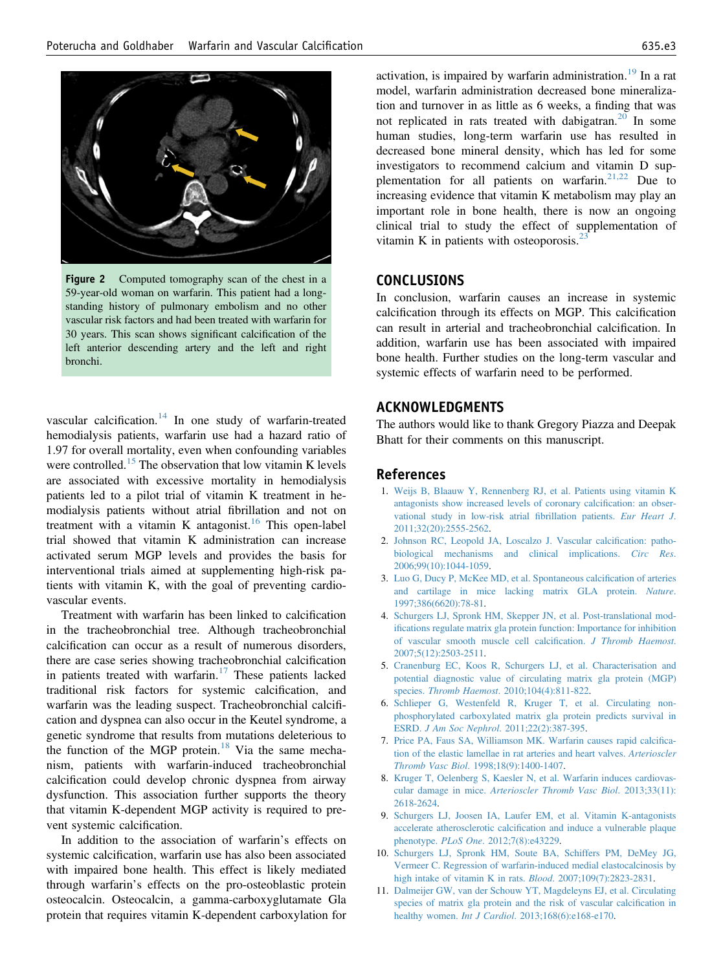<span id="page-2-0"></span>



vascular calcification. $14$  In one study of warfarin-treated hemodialysis patients, warfarin use had a hazard ratio of 1.97 for overall mortality, even when confounding variables were controlled.<sup>[15](#page-3-0)</sup> The observation that low vitamin K levels are associated with excessive mortality in hemodialysis patients led to a pilot trial of vitamin K treatment in hemodialysis patients without atrial fibrillation and not on treatment with a vitamin K antagonist.<sup>[16](#page-3-0)</sup> This open-label trial showed that vitamin K administration can increase activated serum MGP levels and provides the basis for interventional trials aimed at supplementing high-risk patients with vitamin K, with the goal of preventing cardiovascular events.

Treatment with warfarin has been linked to calcification in the tracheobronchial tree. Although tracheobronchial calcification can occur as a result of numerous disorders, there are case series showing tracheobronchial calcification in patients treated with warfarin.<sup>[17](#page-3-0)</sup> These patients lacked traditional risk factors for systemic calcification, and warfarin was the leading suspect. Tracheobronchial calcification and dyspnea can also occur in the Keutel syndrome, a genetic syndrome that results from mutations deleterious to the function of the MGP protein.<sup>[18](#page-3-0)</sup> Via the same mechanism, patients with warfarin-induced tracheobronchial calcification could develop chronic dyspnea from airway dysfunction. This association further supports the theory that vitamin K-dependent MGP activity is required to prevent systemic calcification.

In addition to the association of warfarin's effects on systemic calcification, warfarin use has also been associated with impaired bone health. This effect is likely mediated through warfarin's effects on the pro-osteoblastic protein osteocalcin. Osteocalcin, a gamma-carboxyglutamate Gla protein that requires vitamin K-dependent carboxylation for activation, is impaired by warfarin administration.<sup>[19](#page-3-0)</sup> In a rat model, warfarin administration decreased bone mineralization and turnover in as little as 6 weeks, a finding that was not replicated in rats treated with dabigatran.<sup>[20](#page-3-0)</sup> In some human studies, long-term warfarin use has resulted in decreased bone mineral density, which has led for some investigators to recommend calcium and vitamin D supplementation for all patients on warfarin. $21,22$  Due to increasing evidence that vitamin K metabolism may play an important role in bone health, there is now an ongoing clinical trial to study the effect of supplementation of vitamin K in patients with osteoporosis.<sup>2</sup>

#### CONCLUSIONS

In conclusion, warfarin causes an increase in systemic calcification through its effects on MGP. This calcification can result in arterial and tracheobronchial calcification. In addition, warfarin use has been associated with impaired bone health. Further studies on the long-term vascular and systemic effects of warfarin need to be performed.

## ACKNOWLEDGMENTS

The authors would like to thank Gregory Piazza and Deepak Bhatt for their comments on this manuscript.

#### References

- 1. [Weijs B, Blaauw Y, Rennenberg RJ, et al. Patients using vitamin K](http://refhub.elsevier.com/S0002-9343(15)30031-0/sref1) [antagonists show increased levels of coronary calci](http://refhub.elsevier.com/S0002-9343(15)30031-0/sref1)fication: an obser[vational study in low-risk atrial](http://refhub.elsevier.com/S0002-9343(15)30031-0/sref1) fibrillation patients. Eur Heart J. [2011;32\(20\):2555-2562.](http://refhub.elsevier.com/S0002-9343(15)30031-0/sref1)
- 2. [Johnson RC, Leopold JA, Loscalzo J. Vascular calci](http://refhub.elsevier.com/S0002-9343(15)30031-0/sref2)fication: patho[biological mechanisms and clinical implications.](http://refhub.elsevier.com/S0002-9343(15)30031-0/sref2) Circ Res. [2006;99\(10\):1044-1059.](http://refhub.elsevier.com/S0002-9343(15)30031-0/sref2)
- 3. [Luo G, Ducy P, McKee MD, et al. Spontaneous calci](http://refhub.elsevier.com/S0002-9343(15)30031-0/sref3)fication of arteries [and cartilage in mice lacking matrix GLA protein.](http://refhub.elsevier.com/S0002-9343(15)30031-0/sref3) Nature. [1997;386\(6620\):78-81.](http://refhub.elsevier.com/S0002-9343(15)30031-0/sref3)
- 4. [Schurgers LJ, Spronk HM, Skepper JN, et al. Post-translational mod](http://refhub.elsevier.com/S0002-9343(15)30031-0/sref4)ifi[cations regulate matrix gla protein function: Importance for inhibition](http://refhub.elsevier.com/S0002-9343(15)30031-0/sref4) [of vascular smooth muscle cell calci](http://refhub.elsevier.com/S0002-9343(15)30031-0/sref4)fication. J Thromb Haemost. [2007;5\(12\):2503-2511.](http://refhub.elsevier.com/S0002-9343(15)30031-0/sref4)
- 5. [Cranenburg EC, Koos R, Schurgers LJ, et al. Characterisation and](http://refhub.elsevier.com/S0002-9343(15)30031-0/sref5) [potential diagnostic value of circulating matrix gla protein \(MGP\)](http://refhub.elsevier.com/S0002-9343(15)30031-0/sref5) species. Thromb Haemost[. 2010;104\(4\):811-822](http://refhub.elsevier.com/S0002-9343(15)30031-0/sref5).
- 6. [Schlieper G, Westenfeld R, Kruger T, et al. Circulating non](http://refhub.elsevier.com/S0002-9343(15)30031-0/sref6)[phosphorylated carboxylated matrix gla protein predicts survival in](http://refhub.elsevier.com/S0002-9343(15)30031-0/sref6) ESRD. J Am Soc Nephrol[. 2011;22\(2\):387-395](http://refhub.elsevier.com/S0002-9343(15)30031-0/sref6).
- 7. [Price PA, Faus SA, Williamson MK. Warfarin causes rapid calci](http://refhub.elsevier.com/S0002-9343(15)30031-0/sref7)fica[tion of the elastic lamellae in rat arteries and heart valves.](http://refhub.elsevier.com/S0002-9343(15)30031-0/sref7) Arterioscler Thromb Vasc Biol[. 1998;18\(9\):1400-1407](http://refhub.elsevier.com/S0002-9343(15)30031-0/sref7).
- 8. [Kruger T, Oelenberg S, Kaesler N, et al. Warfarin induces cardiovas](http://refhub.elsevier.com/S0002-9343(15)30031-0/sref8)cular damage in mice. [Arterioscler Thromb Vasc Biol](http://refhub.elsevier.com/S0002-9343(15)30031-0/sref8). 2013;33(11): [2618-2624](http://refhub.elsevier.com/S0002-9343(15)30031-0/sref8).
- 9. [Schurgers LJ, Joosen IA, Laufer EM, et al. Vitamin K-antagonists](http://refhub.elsevier.com/S0002-9343(15)30031-0/sref9) accelerate atherosclerotic calcifi[cation and induce a vulnerable plaque](http://refhub.elsevier.com/S0002-9343(15)30031-0/sref9) phenotype. PLoS One[. 2012;7\(8\):e43229.](http://refhub.elsevier.com/S0002-9343(15)30031-0/sref9)
- 10. [Schurgers LJ, Spronk HM, Soute BA, Schiffers PM, DeMey JG,](http://refhub.elsevier.com/S0002-9343(15)30031-0/sref10) [Vermeer C. Regression of warfarin-induced medial elastocalcinosis by](http://refhub.elsevier.com/S0002-9343(15)30031-0/sref10) [high intake of vitamin K in rats.](http://refhub.elsevier.com/S0002-9343(15)30031-0/sref10) Blood. 2007;109(7):2823-2831.
- 11. [Dalmeijer GW, van der Schouw YT, Magdeleyns EJ, et al. Circulating](http://refhub.elsevier.com/S0002-9343(15)30031-0/sref11) [species of matrix gla protein and the risk of vascular calci](http://refhub.elsevier.com/S0002-9343(15)30031-0/sref11)fication in healthy women. *Int J Cardiol*[. 2013;168\(6\):e168-e170](http://refhub.elsevier.com/S0002-9343(15)30031-0/sref11).